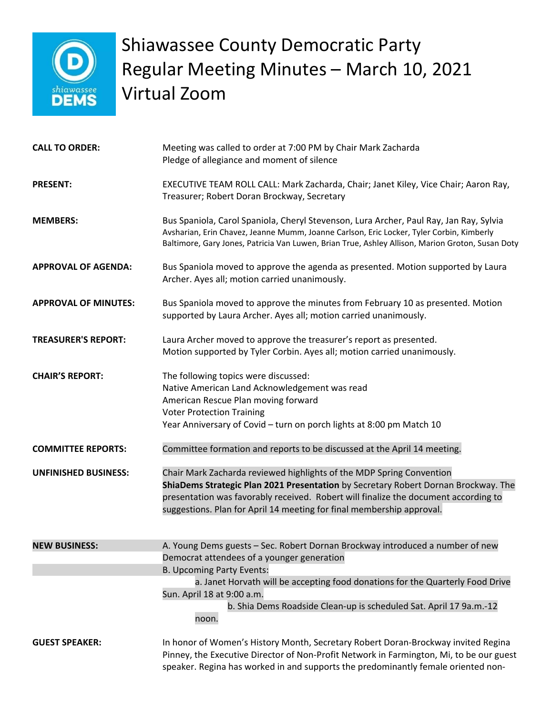

## Shiawassee County Democratic Party Regular Meeting Minutes – March 10, 2021 Virtual Zoom

| <b>CALL TO ORDER:</b>       | Meeting was called to order at 7:00 PM by Chair Mark Zacharda<br>Pledge of allegiance and moment of silence                                                                                                                                                                                                                                             |
|-----------------------------|---------------------------------------------------------------------------------------------------------------------------------------------------------------------------------------------------------------------------------------------------------------------------------------------------------------------------------------------------------|
| <b>PRESENT:</b>             | EXECUTIVE TEAM ROLL CALL: Mark Zacharda, Chair; Janet Kiley, Vice Chair; Aaron Ray,<br>Treasurer; Robert Doran Brockway, Secretary                                                                                                                                                                                                                      |
| <b>MEMBERS:</b>             | Bus Spaniola, Carol Spaniola, Cheryl Stevenson, Lura Archer, Paul Ray, Jan Ray, Sylvia<br>Avsharian, Erin Chavez, Jeanne Mumm, Joanne Carlson, Eric Locker, Tyler Corbin, Kimberly<br>Baltimore, Gary Jones, Patricia Van Luwen, Brian True, Ashley Allison, Marion Groton, Susan Doty                                                                  |
| <b>APPROVAL OF AGENDA:</b>  | Bus Spaniola moved to approve the agenda as presented. Motion supported by Laura<br>Archer. Ayes all; motion carried unanimously.                                                                                                                                                                                                                       |
| <b>APPROVAL OF MINUTES:</b> | Bus Spaniola moved to approve the minutes from February 10 as presented. Motion<br>supported by Laura Archer. Ayes all; motion carried unanimously.                                                                                                                                                                                                     |
| <b>TREASURER'S REPORT:</b>  | Laura Archer moved to approve the treasurer's report as presented.<br>Motion supported by Tyler Corbin. Ayes all; motion carried unanimously.                                                                                                                                                                                                           |
| <b>CHAIR'S REPORT:</b>      | The following topics were discussed:<br>Native American Land Acknowledgement was read<br>American Rescue Plan moving forward<br><b>Voter Protection Training</b><br>Year Anniversary of Covid - turn on porch lights at 8:00 pm Match 10                                                                                                                |
| <b>COMMITTEE REPORTS:</b>   | Committee formation and reports to be discussed at the April 14 meeting.                                                                                                                                                                                                                                                                                |
| <b>UNFINISHED BUSINESS:</b> | Chair Mark Zacharda reviewed highlights of the MDP Spring Convention<br>ShiaDems Strategic Plan 2021 Presentation by Secretary Robert Dornan Brockway. The<br>presentation was favorably received. Robert will finalize the document according to<br>suggestions. Plan for April 14 meeting for final membership approval.                              |
| <b>NEW BUSINESS:</b>        | A. Young Dems guests - Sec. Robert Dornan Brockway introduced a number of new<br>Democrat attendees of a younger generation<br>B. Upcoming Party Events:<br>a. Janet Horvath will be accepting food donations for the Quarterly Food Drive<br>Sun. April 18 at 9:00 a.m.<br>b. Shia Dems Roadside Clean-up is scheduled Sat. April 17 9a.m.-12<br>noon. |
| <b>GUEST SPEAKER:</b>       | In honor of Women's History Month, Secretary Robert Doran-Brockway invited Regina<br>Pinney, the Executive Director of Non-Profit Network in Farmington, Mi, to be our guest<br>speaker. Regina has worked in and supports the predominantly female oriented non-                                                                                       |